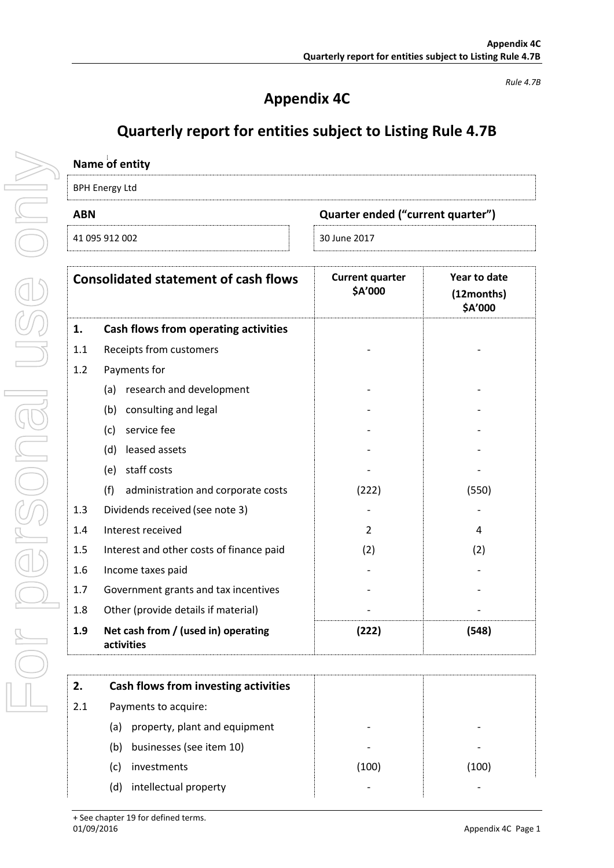## **Appendix 4C**

*Rule 4.7B*

## **Quarterly report for entities subject to Listing Rule 4.7B**

| Name of entity                                  |                                                   |                                   |                                       |
|-------------------------------------------------|---------------------------------------------------|-----------------------------------|---------------------------------------|
| <b>BPH Energy Ltd</b>                           |                                                   |                                   |                                       |
| Quarter ended ("current quarter")<br><b>ABN</b> |                                                   |                                   |                                       |
|                                                 | 41 095 912 002                                    | 30 June 2017                      |                                       |
|                                                 | <b>Consolidated statement of cash flows</b>       | <b>Current quarter</b><br>\$A'000 | Year to date<br>(12months)<br>\$A'000 |
| 1.                                              | <b>Cash flows from operating activities</b>       |                                   |                                       |
| 1.1                                             | Receipts from customers                           |                                   |                                       |
| 1.2                                             | Payments for                                      |                                   |                                       |
|                                                 | (a) research and development                      |                                   |                                       |
|                                                 | (b) consulting and legal                          |                                   |                                       |
|                                                 | service fee<br>(c)                                |                                   |                                       |
|                                                 | leased assets<br>(d)                              |                                   |                                       |
|                                                 | staff costs<br>(e)                                |                                   |                                       |
|                                                 | (f)<br>administration and corporate costs         | (222)                             | (550)                                 |
| 1.3                                             | Dividends received (see note 3)                   |                                   |                                       |
| 1.4                                             | Interest received                                 | 2                                 | 4                                     |
| 1.5                                             | Interest and other costs of finance paid          | (2)                               | (2)                                   |
| 1.6                                             | Income taxes paid                                 |                                   |                                       |
| 1.7                                             | Government grants and tax incentives              |                                   |                                       |
| 1.8                                             | Other (provide details if material)               |                                   |                                       |
| 1.9                                             | Net cash from / (used in) operating<br>activities | (222)                             | (548)                                 |
| 2.                                              | Cash flows from investing activities              |                                   |                                       |
| 2.1                                             | Payments to acquire:                              |                                   |                                       |

- - 2.1 Payments to acquire: (a) property, plant and equipment (b) businesses (see item 10) (c) investments (100) (100) (d) intellectual property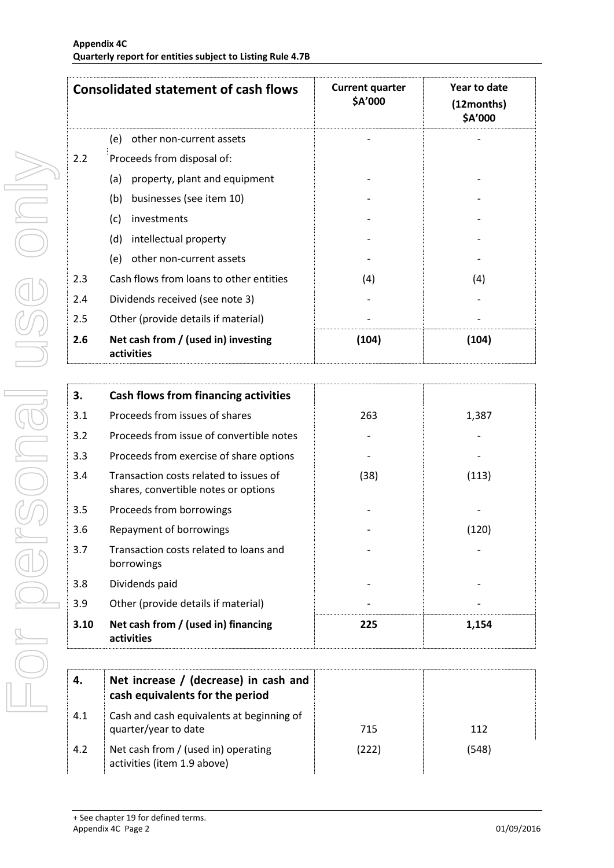|     | <b>Consolidated statement of cash flows</b>       | <b>Current quarter</b><br>\$A'000 | Year to date<br>(12months)<br>\$A'000 |
|-----|---------------------------------------------------|-----------------------------------|---------------------------------------|
|     | (e)<br>other non-current assets                   |                                   |                                       |
| 2.2 | Proceeds from disposal of:                        |                                   |                                       |
|     | property, plant and equipment<br>(a)              |                                   |                                       |
|     | businesses (see item 10)<br>(b)                   |                                   |                                       |
|     | (c)<br>investments                                |                                   |                                       |
|     | (d)<br>intellectual property                      |                                   |                                       |
|     | (e)<br>other non-current assets                   |                                   |                                       |
| 2.3 | Cash flows from loans to other entities           | (4)                               | (4)                                   |
| 2.4 | Dividends received (see note 3)                   |                                   |                                       |
| 2.5 | Other (provide details if material)               |                                   |                                       |
| 2.6 | Net cash from / (used in) investing<br>activities | (104)                             | (104)                                 |

| 3.   | Cash flows from financing activities                                           |      |       |
|------|--------------------------------------------------------------------------------|------|-------|
| 3.1  | Proceeds from issues of shares                                                 | 263  | 1,387 |
| 3.2  | Proceeds from issue of convertible notes                                       |      |       |
| 3.3  | Proceeds from exercise of share options                                        |      |       |
| 3.4  | Transaction costs related to issues of<br>shares, convertible notes or options | (38) | (113) |
| 3.5  | Proceeds from borrowings                                                       |      |       |
| 3.6  | Repayment of borrowings                                                        |      | (120) |
| 3.7  | Transaction costs related to loans and<br>borrowings                           |      |       |
| 3.8  | Dividends paid                                                                 |      |       |
| 3.9  | Other (provide details if material)                                            |      |       |
| 3.10 | Net cash from / (used in) financing<br>activities                              | 225  | 1,154 |

| 4.  | Net increase / (decrease) in cash and<br>cash equivalents for the period |       |       |
|-----|--------------------------------------------------------------------------|-------|-------|
| 4.1 | Cash and cash equivalents at beginning of<br>quarter/year to date        | 715   | 112   |
| 4.2 | Net cash from / (used in) operating<br>activities (item 1.9 above)       | (222) | (548) |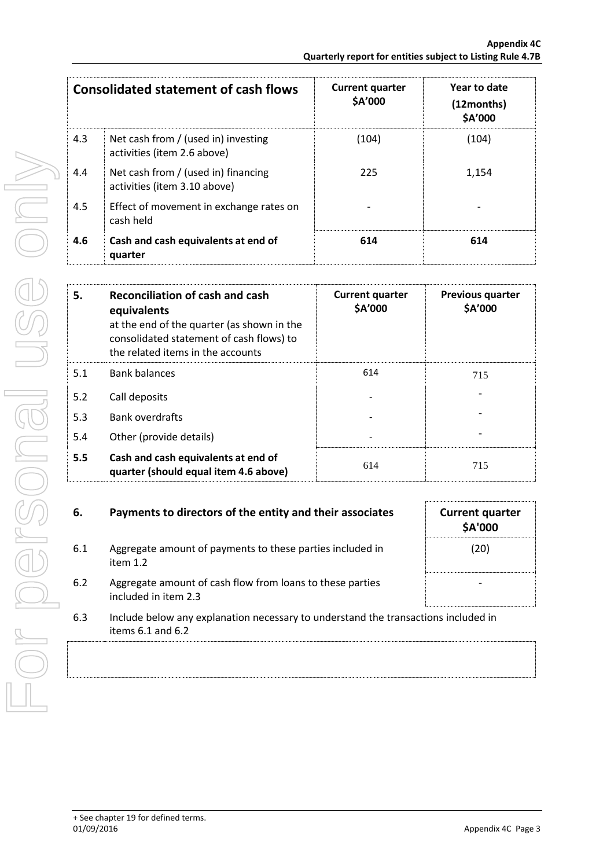|     | <b>Consolidated statement of cash flows</b>                         | <b>Current quarter</b><br>\$A'000 | Year to date<br>(12months)<br>\$A'000 |
|-----|---------------------------------------------------------------------|-----------------------------------|---------------------------------------|
| 4.3 | Net cash from / (used in) investing<br>activities (item 2.6 above)  | (104)                             | (104)                                 |
| 4.4 | Net cash from / (used in) financing<br>activities (item 3.10 above) | 225                               | 1,154                                 |
| 4.5 | Effect of movement in exchange rates on<br>cash held                |                                   |                                       |
| 4.6 | Cash and cash equivalents at end of<br>quarter                      | 614                               | 614                                   |

| 5.  | Reconciliation of cash and cash<br>equivalents<br>at the end of the quarter (as shown in the<br>consolidated statement of cash flows) to<br>the related items in the accounts | <b>Current quarter</b><br>\$A'000 | <b>Previous quarter</b><br>\$A'000 |
|-----|-------------------------------------------------------------------------------------------------------------------------------------------------------------------------------|-----------------------------------|------------------------------------|
| 5.1 | <b>Bank balances</b>                                                                                                                                                          | 614                               | 715                                |
| 5.2 | Call deposits                                                                                                                                                                 |                                   |                                    |
| 5.3 | <b>Bank overdrafts</b>                                                                                                                                                        |                                   |                                    |
| 5.4 | Other (provide details)                                                                                                                                                       |                                   |                                    |
| 5.5 | Cash and cash equivalents at end of<br>quarter (should equal item 4.6 above)                                                                                                  | 614                               | 715                                |

| 6.  | Payments to directors of the entity and their associates                                                    | <b>Current quarter</b><br><b>\$A'000</b> |
|-----|-------------------------------------------------------------------------------------------------------------|------------------------------------------|
| 6.1 | Aggregate amount of payments to these parties included in<br>item $1.2$                                     | (20)                                     |
| 6.2 | Aggregate amount of cash flow from loans to these parties<br>included in item 2.3                           |                                          |
| 6.3 | Include below any explanation necessary to understand the transactions included in<br>items $6.1$ and $6.2$ |                                          |
|     |                                                                                                             |                                          |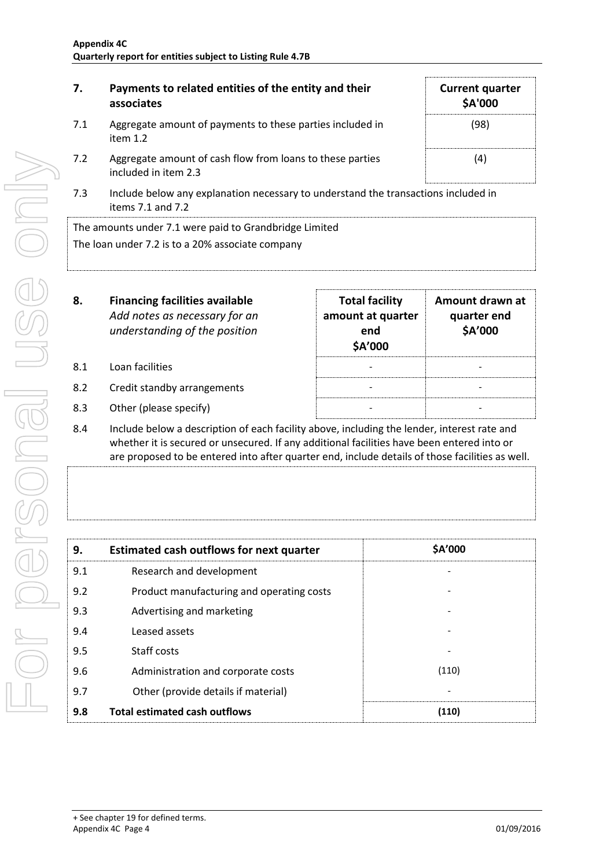| 7.  | Payments to related entities of the entity and their<br>associates                | <b>Current quarter</b><br>\$A'000 |
|-----|-----------------------------------------------------------------------------------|-----------------------------------|
| 7.1 | Aggregate amount of payments to these parties included in<br>item $1.2$           | (98)                              |
| 7.2 | Aggregate amount of cash flow from loans to these parties<br>included in item 2.3 | (4)                               |

7.3 Include below any explanation necessary to understand the transactions included in items 7.1 and 7.2

The amounts under 7.1 were paid to Grandbridge Limited The loan under 7.2 is to a 20% associate company

| 8.  | <b>Financing facilities available</b><br>Add notes as necessary for an<br>understanding of the position | <b>Total facility</b><br>amount at quarter<br>end<br>\$A'000 | Amount drawn at<br>quarter end<br>\$A'000 |
|-----|---------------------------------------------------------------------------------------------------------|--------------------------------------------------------------|-------------------------------------------|
| 8.1 | Loan facilities                                                                                         |                                                              |                                           |
| 8.2 | Credit standby arrangements                                                                             |                                                              |                                           |
|     |                                                                                                         |                                                              |                                           |

- 8.3 Other (please specify)
- 8.4 Include below a description of each facility above, including the lender, interest rate and whether it is secured or unsecured. If any additional facilities have been entered into or are proposed to be entered into after quarter end, include details of those facilities as well.

| 9.  | <b>Estimated cash outflows for next quarter</b> | \$A'000 |
|-----|-------------------------------------------------|---------|
| 9.1 | Research and development                        |         |
| 9.2 | Product manufacturing and operating costs       |         |
| 9.3 | Advertising and marketing                       |         |
| 9.4 | Leased assets                                   |         |
| 9.5 | Staff costs                                     |         |
| 9.6 | Administration and corporate costs              | (110)   |
| 9.7 | Other (provide details if material)             |         |
| 9.8 | <b>Total estimated cash outflows</b>            | (110)   |